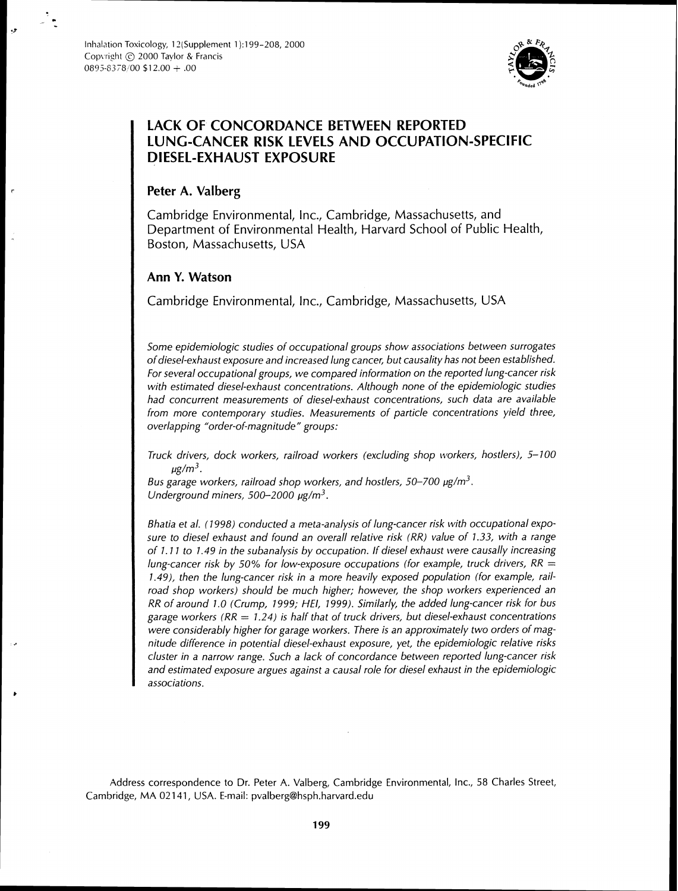

# **LACK OF CONCORDANCE BETWEEN REPORTED LUNG-CANCER RISK LEVELS AND OCCUPATION-SPECIFIC DIESEL-EXHAUST EXPOSURE**

## **Peter A. Valberg**

Cambridge Environmental, Inc., Cambridge, Massachusetts, and Department of Environmental Health, Harvard School of Public Health, Boston, Massachusetts, USA

## **Ann Y. Watson**

Cambridge Environmental, Inc., Cambridge, Massachusetts, USA

Some epidemiologic studies of occupational groups show associations between surrogates of diesel-exhaust exposure and increased lung cancer, but causality has not been established. For several occupational groups, we compared information on the reported lung-cancer risk with estimated diesel-exhaust concentrations. Although none of the epidemiologic studies had concurrent measurements of diesel-exhaust concentrations, such data are available from more contemporary studies. Measurements of particle concentrations yield three, overlapping "order-of-magnitude" groups:

Truck drivers, dock workers, railroad workers (excluding shop workers, hostlers),  $5-100$  $\mu$ g/m<sup>3</sup>.

Bus garage workers, railroad shop workers, and hostlers, 50–700  $\mu$ g/m<sup>3</sup>. Underground miners, 500-2000  $\mu$ g/m<sup>3</sup>.

Bhatia et al. (1998) conducted a meta-analysis of lung-cancer risk with occupational exposure to diesel exhaust and found an overall relative risk (RR) value of 7.33, with a range of I. 7 1 to 7.49 in the subanalysis by occupation. If diesel exhaust were causally increasing lung-cancer risk by 50% for low-exposure occupations (for example, truck drivers,  $RR =$ 1.49), then the lung-cancer risk in a more heavily exposed population (for example, railroad shop workers) should be much higher; however, the shop workers experienced an RR of around 1.0 (Crump, 7999; *HE/,* 1999). Similarly, the added lung-cancer risk for bus garage workers ( $RR = 1.24$ ) is half that of truck drivers, but diesel-exhaust concentrations were considerably higher for garage workers. There is an approximately two orders of magnitude difference in potential diesel-exhaust exposure, yet, the epidemiologic relative risks cluster in a narrow range. Such a lack of concordance between reported lung-cancer risk and estimated exposure argues against a causal role for diesel exhaust in the epidemiologic associations.

Address correspondence to Dr. Peter A. Valberg, Cambridge Environmental, Inc., 58 Charles Street, Cambridge, MA 02 141, USA. E-mail: pvalberg@hsph.harvard.edu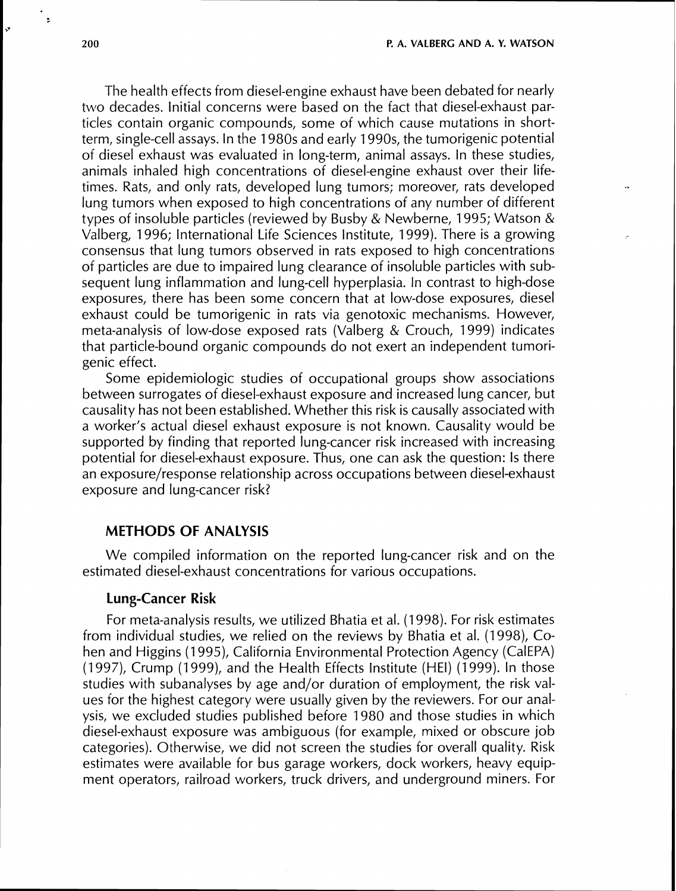ŀ.

The health effects from diesel-engine exhaust have been debated for nearly two decades. Initial concerns were based on the fact that diesel-exhaust particles contain organic compounds, some of which cause mutations in shortterm, single-cell assays. In the 1980s and early 1990s, the tumorigenic potential of diesel exhaust was evaluated in long-term, animal assays. In these studies, animals inhaled high concentrations of diesel-engine exhaust over their lifetimes. Rats, and only rats, developed lung tumors; moreover, rats developed lung tumors when exposed to high concentrations of any number of different types of insoluble particles (reviewed by Busby & Newberne, 1995; Watson & Valberg, 1996; International Life Sciences Institute, 1999). There is a growing consensus that lung tumors observed in rats exposed to high concentrations of particles are due to impaired lung clearance of insoluble particles with subsequent lung inflammation and lung-cell hyperplasia. In contrast to high-dose exposures, there has been some concern that at low-dose exposures, diesel exhaust could be tumorigenic in rats via genotoxic mechanisms. However, meta-analysis of low-dose exposed rats (Valberg & Crouch, 1999) indicates that particle-bound organic compounds do not exert an independent tumorigenic effect.

Some epidemiologic studies of occupational groups show associations between surrogates of diesel-exhaust exposure and increased lung cancer, but causality has not been established. Whether this risk is causally associated with a worker's actual diesel exhaust exposure is not known. Causality would be supported by finding that reported lung-cancer risk increased with increasing potential for diesel-exhaust exposure. Thus, one can ask the question: Is there an exposure/response relationship across occupations between diesel-exhaust exposure and lung-cancer risk?

## **METHODS OF ANALYSIS**

We compiled information on the reported lung-cancer risk and on the estimated diesel-exhaust concentrations for various occupations.

## **Lung-Cancer Risk**

For meta-analysis results, we utilized Bhatia et al. (1 998). For risk estimates from individual studies, we relied on the reviews by Bhatia et al. (1998), Cohen and Higgins (1995), California Environmental Protection Agency (CalEPA) (1997), Crump (1999), and the Health Effects Institute (HEI) (1999). In those studies with subanalyses by age and/or duration of employment, the risk values for the highest category were usually given by the reviewers. For our analysis, we excluded studies published before 1980 and those studies in which diesel-exhaust exposure was ambiguous (for example, mixed or obscure job categories). Otherwise, we did not screen the studies for overall quality. Risk estimates were available for bus garage workers, dock workers, heavy equipment operators, railroad workers, truck drivers, and underground miners. For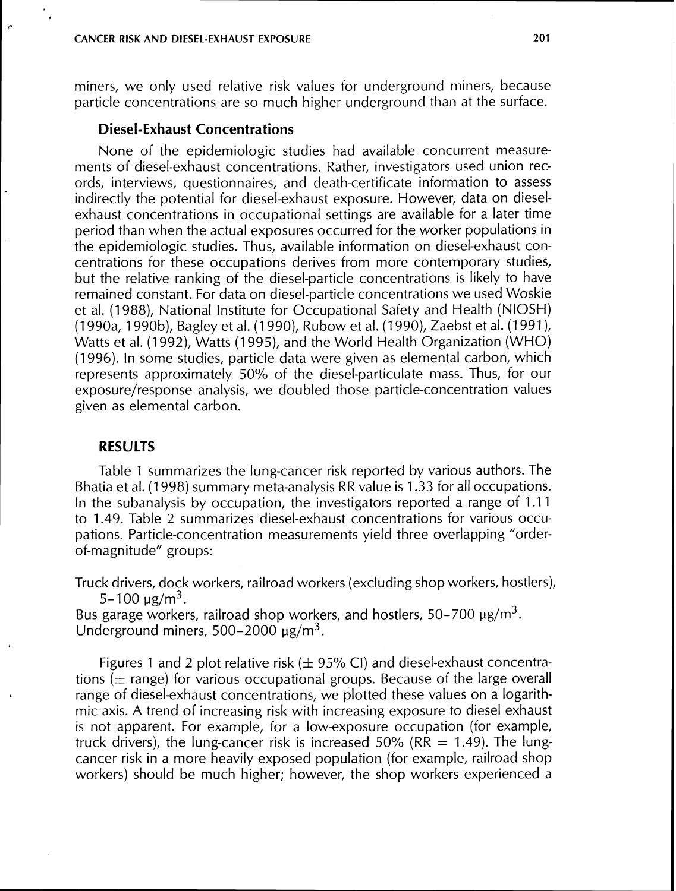miners, we only used relative risk values for underground miners, because particle concentrations are so much higher underground than at the surface.

## **Diesel-Exhaust Concentrations**

None of the epidemiologic studies had available concurrent measurements of diesel-exhaust concentrations. Rather, investigators used union records, interviews, questionnaires, and death-certificate information to assess indirectly the potential for diesel-exhaust exposure. However, data on dieselexhaust concentrations in occupational settings are available for a later time period than when the actual exposures occurred for the worker populations in the epidemiologic studies. Thus, available information on diesel-exhaust concentrations for these occupations derives from more contemporary studies, but the relative ranking of the diesel-particle concentrations is likely to have remained constant. For data on diesel-particle concentrations we used Woskie et al. (1 988), National Institute for Occupational Safety and Health (NIOSH) (1 990a, 1990b), Bagley et al. (1 990)) Rubow et al. (1 990), Zaebst et al. (1 991), Watts et al. (1992), Watts (1995), and the World Health Organization (WHO) (1996). In some studies, particle data were given as elemental carbon, which represents approximately 50% of the diesel-particulate mass. Thus, for our exposure/response analysis, we doubled those particle-concentration values given as elemental carbon.

## **RESULTS**

Table 1 summarizes the lung-cancer risk reported by various authors. The Bhatia et al. (1 998) summary meta-analysis RR value is 1.33 for all occupations. In the subanalysis by occupation, the investigators reported a range of 1.11 to 1.49. Table 2 summarizes diesel-exhaust concentrations for various occupations. Particle-concentration measurements yield three overlapping "orderof-magnitude" groups:

Truck drivers, dock workers, railroad workers (excluding shop workers, hostlers),  $5 - 100 \text{ µg/m}^3$ .

Bus garage workers, railroad shop workers, and hostlers,  $50-700 \mu g/m^3$ . Underground miners,  $500-2000 \mu g/m^3$ .

Figures 1 and 2 plot relative risk  $(\pm 95\%$  CI) and diesel-exhaust concentrations ( $\pm$  range) for various occupational groups. Because of the large overall range of diesel-exhaust concentrations, we plotted these values on a logarithmic axis. A trend of increasing risk with increasing exposure to diesel exhaust is not apparent. For example, for a low-exposure occupation (for example, truck drivers), the lung-cancer risk is increased 50% (RR  $= 1.49$ ). The lungcancer risk in a more heavily exposed population (for example, railroad shop workers) should be much higher; however, the shop workers experienced a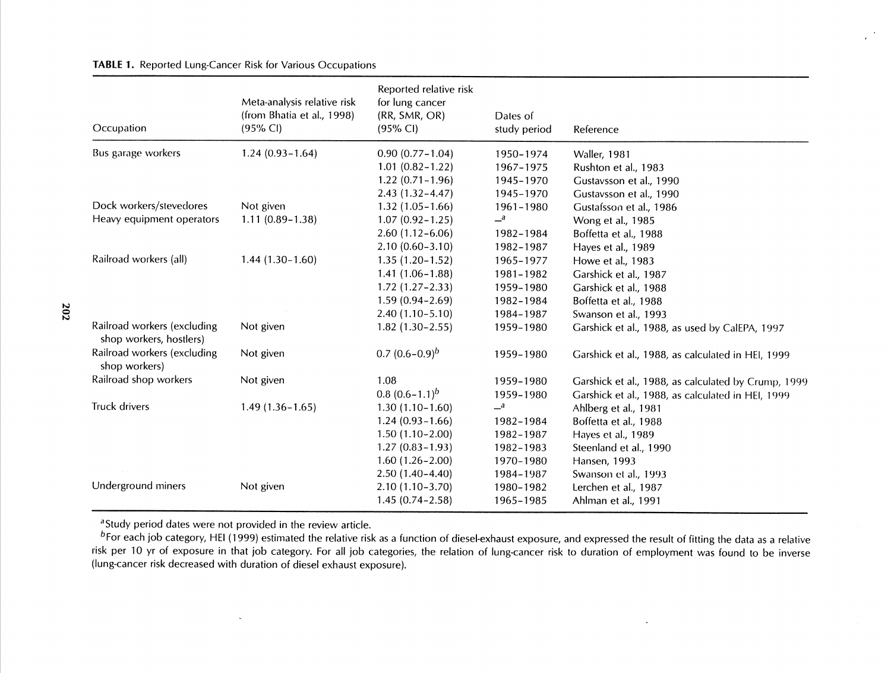#### TABLE 1. Reported Lung-Cancer Risk for Various Occupations

| Occupation                                             | Meta-analysis relative risk<br>(from Bhatia et al., 1998)<br>$(95% \text{ Cl})$ | Reported relative risk<br>for lung cancer<br>(RR, SMR, OR)<br>$(95% \text{ Cl})$ | Dates of<br>study period | Reference                                           |
|--------------------------------------------------------|---------------------------------------------------------------------------------|----------------------------------------------------------------------------------|--------------------------|-----------------------------------------------------|
| Bus garage workers                                     | $1.24(0.93 - 1.64)$                                                             | $0.90(0.77 - 1.04)$                                                              | 1950-1974                | <b>Waller, 1981</b>                                 |
|                                                        |                                                                                 | $1.01(0.82 - 1.22)$                                                              | 1967-1975                | Rushton et al., 1983                                |
|                                                        |                                                                                 | $1.22(0.71 - 1.96)$                                                              | 1945-1970                | Gustavsson et al., 1990                             |
|                                                        |                                                                                 | $2.43(1.32 - 4.47)$                                                              | 1945-1970                | Gustavsson et al., 1990                             |
| Dock workers/stevedores                                | Not given                                                                       | $1.32(1.05 - 1.66)$                                                              | 1961-1980                | Gustafsson et al., 1986                             |
| Heavy equipment operators                              | $1.11(0.89 - 1.38)$                                                             | $1.07(0.92 - 1.25)$                                                              | $-$ <sup>a</sup>         | Wong et al., 1985                                   |
|                                                        |                                                                                 | $2.60(1.12 - 6.06)$                                                              | 1982-1984                | Boffetta et al., 1988                               |
|                                                        |                                                                                 | $2.10(0.60 - 3.10)$                                                              | 1982-1987                | Hayes et al., 1989                                  |
| Railroad workers (all)                                 | $1.44(1.30-1.60)$                                                               | $1.35(1.20-1.52)$                                                                | 1965-1977                | Howe et al., 1983                                   |
|                                                        |                                                                                 | $1.41(1.06 - 1.88)$                                                              | 1981-1982                | Garshick et al., 1987                               |
|                                                        |                                                                                 | $1.72(1.27 - 2.33)$                                                              | 1959-1980                | Garshick et al., 1988                               |
|                                                        |                                                                                 | $1.59(0.94 - 2.69)$                                                              | 1982-1984                | Boffetta et al., 1988                               |
|                                                        |                                                                                 | $2.40(1.10-5.10)$                                                                | 1984-1987                | Swanson et al., 1993                                |
| Railroad workers (excluding<br>shop workers, hostlers) | Not given                                                                       | $1.82(1.30-2.55)$                                                                | 1959-1980                | Garshick et al., 1988, as used by CalEPA, 1997      |
| Railroad workers (excluding<br>shop workers)           | Not given                                                                       | 0.7 $(0.6-0.9)^b$                                                                | 1959-1980                | Garshick et al., 1988, as calculated in HEI, 1999   |
| Railroad shop workers                                  | Not given                                                                       | 1.08                                                                             | 1959-1980                | Garshick et al., 1988, as calculated by Crump, 1999 |
|                                                        |                                                                                 | 0.8 $(0.6-1.1)^b$                                                                | 1959-1980                | Garshick et al., 1988, as calculated in HEI, 1999   |
| Truck drivers                                          | $1.49(1.36 - 1.65)$                                                             | $1.30(1.10-1.60)$                                                                | $\mathbf{a}$             | Ahlberg et al., 1981                                |
|                                                        |                                                                                 | $1.24(0.93 - 1.66)$                                                              | 1982-1984                | Boffetta et al., 1988                               |
|                                                        |                                                                                 | $1.50(1.10-2.00)$                                                                | 1982-1987                | Hayes et al., 1989                                  |
|                                                        |                                                                                 | $1.27(0.83 - 1.93)$                                                              | 1982-1983                | Steenland et al., 1990                              |
|                                                        |                                                                                 | $1.60(1.26 - 2.00)$                                                              | 1970-1980                | Hansen, 1993                                        |
|                                                        |                                                                                 | $2.50(1.40-4.40)$                                                                | 1984-1987                | Swanson et al., 1993                                |
| Underground miners                                     | Not given                                                                       | $2.10(1.10-3.70)$                                                                | 1980-1982                | Lerchen et al., 1987                                |
|                                                        |                                                                                 | $1.45(0.74 - 2.58)$                                                              | 1965-1985                | Ahlman et al., 1991                                 |

<sup>a</sup> Study period dates were not provided in the review article.

 $\sim$ 

 $^{b}$ For each job category, HEI (1999) estimated the relative risk as a function of diesel-exhaust exposure, and expressed the result of fitting the data as a relative risk per 10 yr of exposure in that job category. For all job categories, the relation of lung-cancer risk to duration of employment was found to be inverse (lung-cancer risk decreased with duration of diesel exhaust exposure).

 $\mathbf{A}$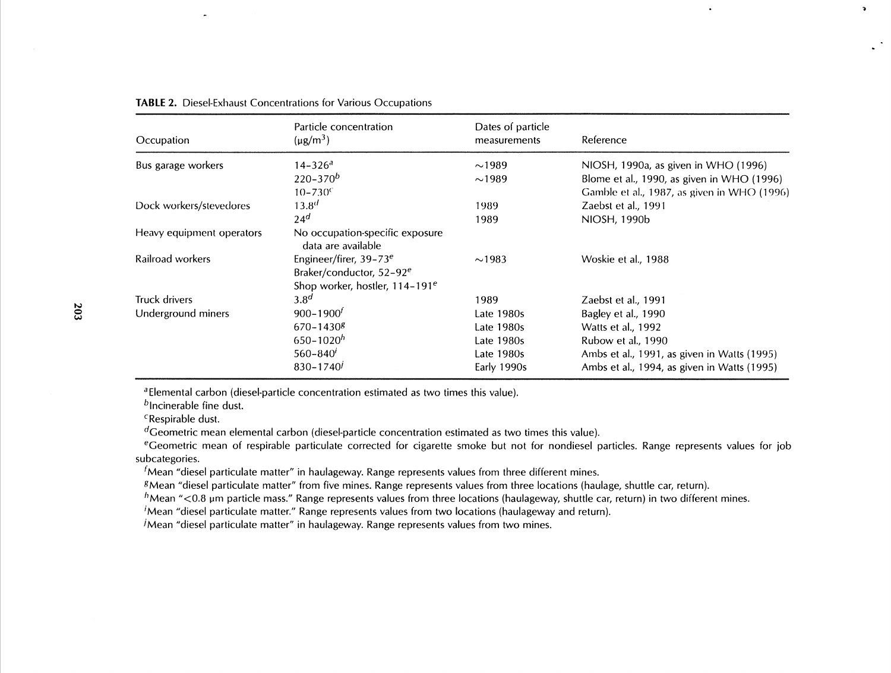| Occupation                | Particle concentration<br>$(\mu g/m^3)$               | Dates of particle<br>measurements | Reference                                   |
|---------------------------|-------------------------------------------------------|-----------------------------------|---------------------------------------------|
| Bus garage workers        | 14–326ª                                               | $\sim$ 1989                       | NIOSH, 1990a, as given in WHO (1996)        |
|                           | $220 - 370^b$                                         | $\sim$ 1989                       | Blome et al., 1990, as given in WHO (1996)  |
|                           | $10 - 730$ <sup>c</sup>                               |                                   | Gamble et al., 1987, as given in WHO (1996) |
| Dock workers/stevedores   | $13.8^{d}$                                            | 1989                              | Zaebst et al., 1991                         |
|                           | 24 <sup>d</sup>                                       | 1989                              | NIOSH, 1990b                                |
| Heavy equipment operators | No occupation-specific exposure<br>data are available |                                   |                                             |
| Railroad workers          | Engineer/firer, 39-73 <sup>e</sup>                    | $\sim$ 1983                       | Woskie et al., 1988                         |
|                           | Braker/conductor, 52-92 <sup>e</sup>                  |                                   |                                             |
|                           | Shop worker, hostler, 114-191 <sup>e</sup>            |                                   |                                             |
| Truck drivers             | 3.8 <sup>d</sup>                                      | 1989                              | Zaebst et al., 1991                         |
| Underground miners        | $900 - 1900f$                                         | Late 1980s                        | Bagley et al., 1990                         |
|                           | $670 - 1430$ <sup>g</sup>                             | Late 1980s                        | Watts et al., 1992                          |
|                           | $650 - 1020h$                                         | Late 1980s                        | Rubow et al., 1990                          |
|                           | $560 - 840'$                                          | Late 1980s                        | Ambs et al., 1991, as given in Watts (1995) |
|                           | $830 - 1740'$                                         | Early 1990s                       | Ambs et al., 1994, as given in Watts (1995) |

 $\bullet$ 

 $\ddot{\phantom{a}}$ 

| <b>TABLE 2.</b> Diesel-Exhaust Concentrations for Various Occupations |
|-----------------------------------------------------------------------|
|-----------------------------------------------------------------------|

<sup>a</sup> Elemental carbon (diesel-particle concentration estimated as two times this value).

 $<sup>b</sup>$  Incinerable fine dust.</sup>

<sup>c</sup>Respirable dust.

 $d$ Geometric mean elemental carbon (diesel-particle concentration estimated as two times this value).

eGeometric mean of respirable particulate corrected for cigarette smoke but not for nondiesel particles. Range represents values for job subcategories.

 $<sup>f</sup>$ Mean "diesel particulate matter" in haulageway. Range represents values from three different mines.</sup>

gMean "diesel particulate matter" from five mines. Range represents values from three locations (haulage, shuttle car, return).

 $h$ Mean "<0.8 µm particle mass." Range represents values from three locations (haulageway, shuttle car, return) in two different mines.

'Mean "diesel particulate matter." Range represents values from two locations (haulageway and return).

 $\dot{\theta}$ Mean "diesel particulate matter" in haulageway. Range represents values from two mines.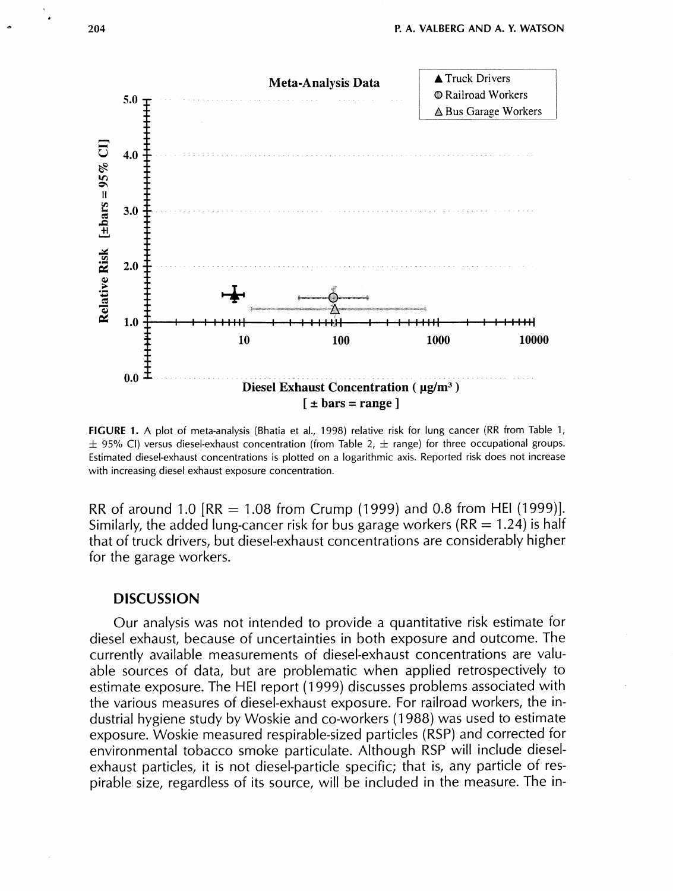

**FIGURE 1. A** plot of meta-analysis (Bhatia et al., 1998) relative risk for lung cancer (RR from Table 1,  $\pm$  95% CI) versus diesel-exhaust concentration (from Table 2,  $\pm$  range) for three occupational groups. Estimated diesel-exhaust concentrations is plotted on a logarithmic axis. Reported risk does not increase with increasing diesel exhaust exposure concentration.

RR of around 1.0  $[RR = 1.08$  from Crump (1999) and 0.8 from HEI (1999)]. Similarly, the added lung-cancer risk for bus garage workers ( $RR = 1.24$ ) is half that of truck drivers, but diesel-exhaust concentrations are considerably higher for the garage workers.

## **DISCUSSION**

Our analysis was not intended to provide a quantitative risk estimate for diesel exhaust, because of uncertainties in both exposure and outcome. The currently available measurements of diesel-exhaust concentrations are valuable sources of data, but are problematic when applied retrospectively to estimate exposure. The HE1 report (1 999) discusses problems associated with the various measures of diesel-exhaust exposure. For railroad workers, the industrial hygiene study by Woskie and co-workers (1 988) was used to estimate exposure. Woskie measured respirable-sized particles (RSP) and corrected for environmental tobacco smoke particulate. Although RSP will include dieselexhaust particles, it is not diesel-particle specific; that is, any particle of respirable size, regardless of its source, will be included in the measure. The in-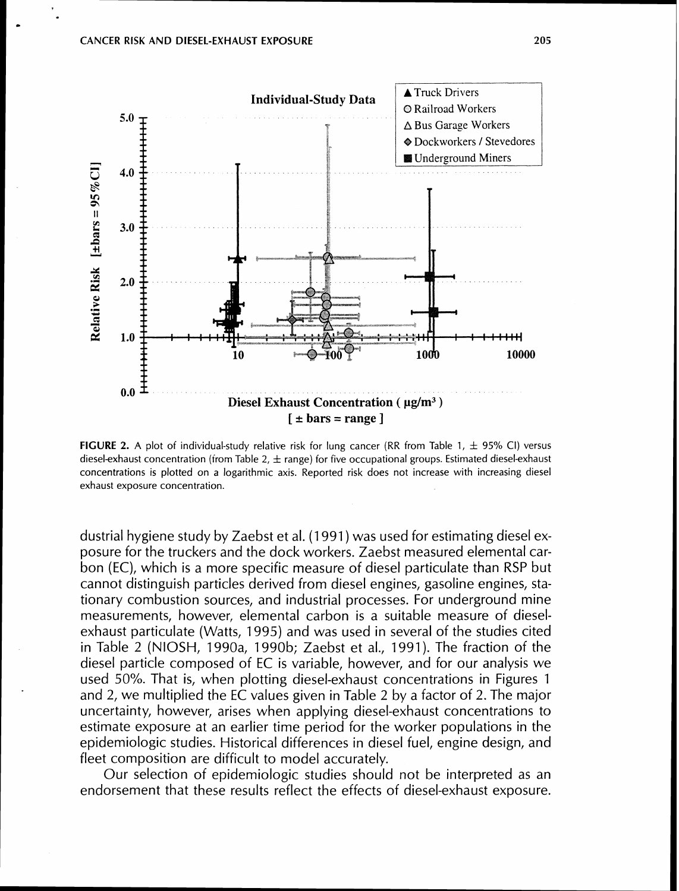

**FIGURE 2.** A plot of individual-study relative risk for lung cancer (RR from Table 1,  $\pm$  95% CI) versus diesel-exhaust concentration (from Table 2,  $\pm$  range) for five occupational groups. Estimated diesel-exhaust concentrations is plotted on a logarithmic axis. Reported risk does not increase with increasing diesel exhaust exposure concentration.

dustrial hygiene study by Zaebst et al. (1 991 ) was used for estimating diesel exposure for the truckers and the dock workers. Zaebst measured elemental carbon (EC), which is a more specific measure of diesel particulate than RSP but cannot distinguish particles derived from diesel engines, gasoline engines, stationary combustion sources, and industrial processes. For underground mine measurements, however, elemental carbon is a suitable measure of dieselexhaust particulate (Watts, 1995) and was used in several of the studies cited in Table 2 (NIOSH, 1990a, 1990b; Zaebst et al., 1991). The fraction of the diesel particle composed of EC is variable, however, and for our analysis we used 50%. That is, when plotting diesel-exhaust concentrations in Figures 1 and 2, we multiplied the EC values given in Table 2 by a factor of 2. The major uncertainty, however, arises when applying diesel-exhaust concentrations to estimate exposure at an earlier time period for the worker populations in the epidemiologic studies. Historical differences in diesel fuel, engine design, and fleet composition are difficult to model accurately.

Our selection of epidemiologic studies should not be interpreted as an endorsement that these results reflect the effects of diesel-exhaust exposure.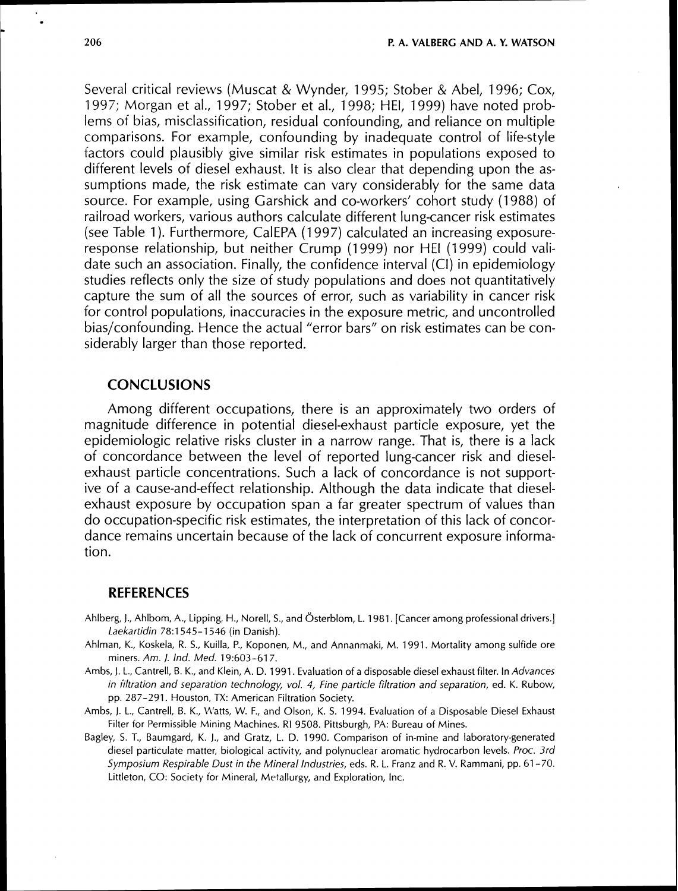Several critical reviews (Muscat & Wynder, 1995; Stober & Abel, 1996; Cox, 1997; Morgan et al., 1997; Stober et at., 1998; HEI, 1999) have noted problems of bias, misclassification, residual confounding, and reliance on multiple comparisons. For example, confounding by inadequate control of life-style factors could plausibly give similar risk estimates in populations exposed to different levels of diesel exhaust. It is also clear that depending upon the assumptions made, the risk estimate can vary considerably for the same data source. For example, using Garshick and co-workers' cohort study (1988) of railroad workers, various authors calculate different lung-cancer risk estimates (see Table 1 ). Furthermore, CalEPA (1 997) calculated an increasing exposureresponse relationship, but neither Crump (1 999) nor HE1 (1 999) could validate such an association. Finally, the confidence interval (CI) in epidemiology studies reflects only the size of study populations and does not quantitatively capture the sum of all the sources of error, such as variability in cancer risk for control populations, inaccuracies in the exposure metric, and uncontrolied bias/confounding. Hence the actual "error bars" on risk estimates can be considerably larger than those reported.

## **CONCLUSIONS**

Among different occupations, there is an approximately two orders of magnitude difference in potential diesel-exhaust particle exposure, yet the epidemiologic relative risks cluster in a narrow range. That is, there is a lack of concordance between the level of reported lung-cancer risk and dieselexhaust particle concentrations. Such a lack of concordance is not supportive of a cause-and-effect relationship. Although the data indicate that dieselexhaust exposure by occupation span a far greater spectrum of values than do occupation-specific risk estimates, the interpretation of this lack of concordance remains uncertain because of the lack of concurrent exposure information.

#### **REFERENCES**

- Ahlberg, J., Ahlbom, A., Lipping, H., Norell, S., and Österblom, L. 1981. [Cancer among professional drivers.] Laekartidin 78:1545-1516 (in Danish).
- Ahlman, K., Koskela, R. S., Kuilla, P., Koponen, M., and Annanrnaki, M. 1991. Mortality among sulfide ore miners. Am. J. Ind. Med. 19:603-617.
- Ambs, 1. L., Cantrell, B. K., and Klein, A. D. 1991. Evaluation of a disposable diesel exhaust filter. In Advances in iiltration and separation technology, vol. 4, Fine particle filtration and separation, ed. K. Rubow, pp. 287-291. Houston, TX: American Filtration Society.
- Arnbs, J. L., Cantrell, B. K., M'atts, W. F., and Olson, K. S. 1994. Evaluation of a Disposable Diesel Exhaust Filter for Permissible Mining Machines. RI 9508. Pittsburgh, PA: Bureau of Mines.
- Bagley, S. T., Baurngard, K. I., and Gratz, L. D. 1990. Comparison of in-mine and laboratory-generated diesel particulate matter, biological activity, and polynuclear aromatic hydrocarbon levels. Proc. 3rd Symposium Respirable Dust in the Mineral Industries, eds. R. L. Franz and R. V. Rammani, pp. 61-70. Littleton, CO: Society for Mineral, Metallurgy, and Exploration, Inc.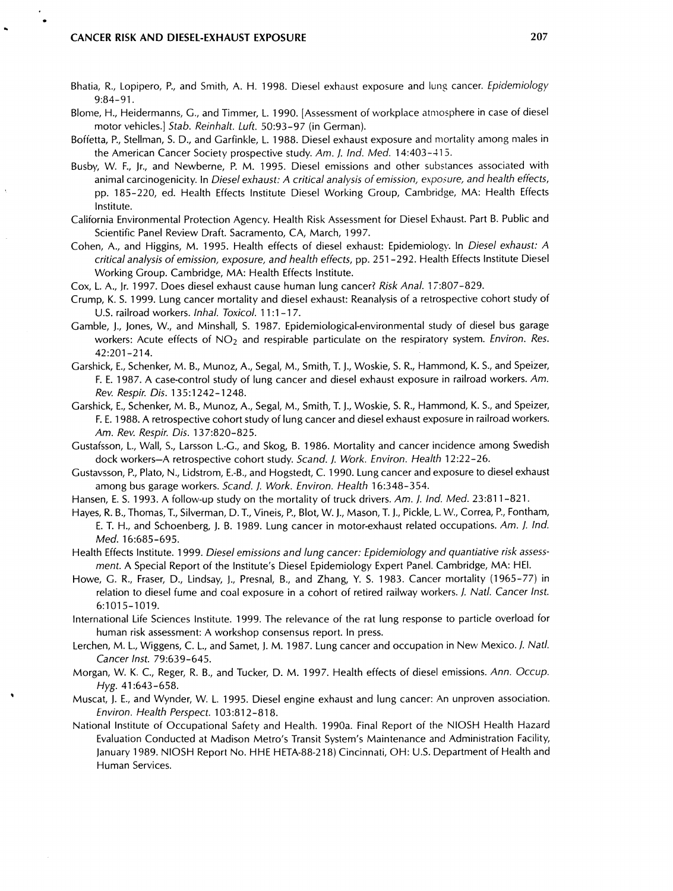- Bhatia, R., Lopipero, P., and Smith, A. H. 1998. Diesel exhaust exposure and luns cancer. Epidemiology 9:84-91.
- Blonie, H., Heidermanns, G., and Timmer, L. 1990. [Assessment of workplace atmosphere in case of diesel motor vehicles.] Stab. Reinhalt. Luft. 50:93-97 (in German).
- Boffetta, P., Stellman, S. D., and Garfinkle, L. 1988. Diesel exhaust exposure and mortality among males in the American Cancer Society prospective study. Am. *J.* Ind. Med. 14:403-115.
- Busby, W. F., Jr., and Newberne, P. M. 1995. Diesel emissions and other substances associated with animal carcinogenicity. In Diesel exhaust: A critical analysis of emission, exposure, and health effects, pp. 185-220, ed. Health Effects lnstitute Diesel Working Group, Cambridge, MA: Health Effects Institute.
- California Environmental Protection Agency. Health Risk Assessment for Diesel Eshaust. Part B. Public and Scientific Panel Review Draft. Sacramento, CA, March, 1997.
- Cohen, A., and Higgins, M. 1995. Health effects of diesel exhaust: Epidemiology. In Diesel exhaust: A critical analysis of emission, exposure, and health effects, pp. 251 -292. Health Effects lnstitute Diesel Working Group. Cambridge, MA: Health Effects Institute.
- Cox, L. A., Jr. 1997. Does diesel exhaust cause human lung cancer? Risk Anal. 17:807-829.
- Crump, K. S. 1999. Lung cancer mortality and diesel exhaust: Reanalysis of a retrospective cohort study of U.S. railroad workers. Inhal. Toxicol. 11:1-17.
- Gamble, I., Jones, W., and Minshall, S. 1987. Epidemiological-environmental study of diesel bus garage workers: Acute effects of NO<sub>2</sub> and respirable particulate on the respiratory system. Environ. Res. 42:201-214.
- Garshick, E., Schenker, M. B., Munoz, A., Segal, M., Smith, T. I., Woskie, S. R., Harnmond, K. S., and Speizer, F. E. 1987. A case-control study of lung cancer and diesel exhaust exposure in railroad workers. Am. Rev. Respir. Dis. 135:1242-1248.
- Garshick, E., Schenker, M. B., Munoz, A., Segal, M., Smith, T. J., Woskie, S. R., Hammond, K. S., and Speizer, F. E. 1988. A retrospective cohort study of lung cancer and diesel exhaust exposure in railroad workers. Am. Rev. Respir. Dis. 137:820-825.
- Gustafsson, L., Wall, S., Larsson L.-G., and Skog, B. 1986. Mortality and cancer incidence among Swedish dock workers-A retrospective cohort study. Scand. 1. Work. Environ. Health 12:22-26.
- Gustavsson, P., Plato, N., Lidstrom, E.-B., and Hogstedt, C. 1990. Lung cancer and exposure to diesel exhaust among bus garage workers. Scand. J. Work. Environ. Health 16:348-354.
- Hansen, E. S. 1993. A follow-up study on the mortality of truck drivers. Am. *J. Ind. Med.* 23:811-821.
- Hayes, R. B.,Thomas, T., Silverman, D. T., Vineis, P., Blot, W. J., Mason, T. J., Pickle, L. W., Correa, P., Fontham, E. T. H., and Schoenberg, J. B. 1989. Lung cancer in motor-exhaust related occupations. Am. *J.* Ind. Med. 16:685-695.
- Health Effects Institute. 1999. Diesel emissions and lung cancer: Epidemiology and quantiative risk assessment. A Special Report of the Institute's Diesel Epidemiology Expert Panel. Cambridge, MA: HEI.
- Howe, G. R., Fraser, D., Lindsay, J., Presnal, B., and Zhang, Y. S. 1983. Cancer mortality (1965-77) in relation to diesel fume and coal exposure in a cohort of retired railway workers. /. Natl. Cancer Inst. 6:1015-1019.
- International Life Sciences lnstitute. 1999. The relevance of the rat lung response to particle overload for human risk assessment: A workshop consensus report. In press.
- Lerchen, M. L., Wiggens, C. L., and Samet, **j.** M. 1987. Lung cancer and occupation in New Mexico. *I.* Natl. Cancer Inst. 79:639-645.
- Morgan, W. K. C., Reger, R. B., and Tucker, D. M. 1997. Health effects of diesel emissions. Ann. Occup. Hyg. 41 :643-658.
- Muscat, J. E., and Wynder, W. L. 1995. Diesel engine exhaust and lung cancer: An unproven association. Environ. Health Perspect. 103:812-818.
- National lnstitute of Occupational Safety and Health. 1990a. Final Report of the NlOSH Health Hazard Evaluation Conducted at Madison Metro's Transit System's Maintenance and Administration Facility, January 1989. NlOSH Report No. HHE HETA-88-218) Cincinnati, OH: U.S. Department of Health and Human Services.